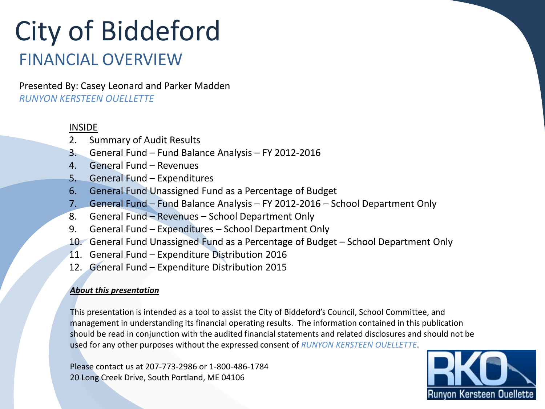#### FINANCIAL OVERVIEW

Presented By: Casey Leonard and Parker Madden *RUNYON KERSTEEN OUELLETTE*

#### INSIDE

- 2. Summary of Audit Results
- 3. General Fund Fund Balance Analysis FY 2012-2016
- 4. General Fund Revenues
- 5. General Fund Expenditures
- 6. General Fund Unassigned Fund as a Percentage of Budget
- 7. General Fund Fund Balance Analysis FY 2012-2016 School Department Only
- 8. General Fund Revenues School Department Only
- 9. General Fund Expenditures School Department Only
- 10. General Fund Unassigned Fund as a Percentage of Budget School Department Only
- 11. General Fund Expenditure Distribution 2016
- 12. General Fund Expenditure Distribution 2015

#### *About this presentation*

This presentation is intended as a tool to assist the City of Biddeford's Council, School Committee, and management in understanding its financial operating results. The information contained in this publication should be read in conjunction with the audited financial statements and related disclosures and should not be used for any other purposes without the expressed consent of *RUNYON KERSTEEN OUELLETTE*.

Please contact us at 207-773-2986 or 1-800-486-1784 20 Long Creek Drive, South Portland, ME 04106

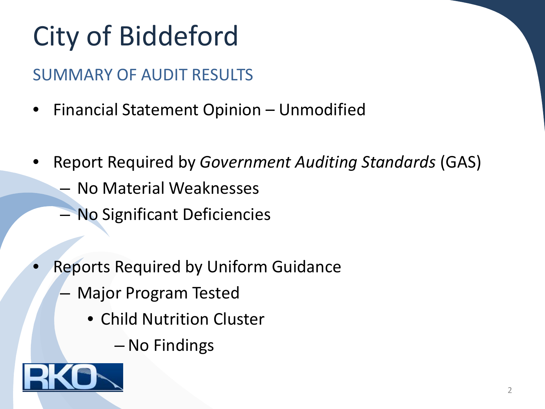#### SUMMARY OF AUDIT RESULTS

- Financial Statement Opinion Unmodified
- Report Required by *Government Auditing Standards* (GAS)
	- No Material Weaknesses
	- No Significant Deficiencies
- Reports Required by Uniform Guidance
	- Major Program Tested
		- Child Nutrition Cluster
			- No Findings

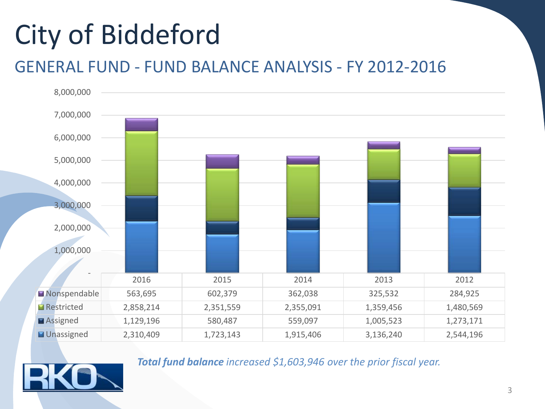#### GENERAL FUND - FUND BALANCE ANALYSIS - FY 2012-2016



*Total fund balance increased \$1,603,946 over the prior fiscal year.*



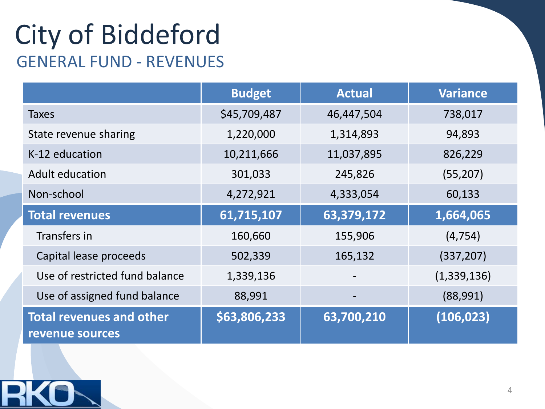### City of Biddeford GENERAL FUND - REVENUES

|                                                    | <b>Budget</b> | <b>Actual</b> | <b>Variance</b> |
|----------------------------------------------------|---------------|---------------|-----------------|
| <b>Taxes</b>                                       | \$45,709,487  | 46,447,504    | 738,017         |
| State revenue sharing                              | 1,220,000     | 1,314,893     | 94,893          |
| K-12 education                                     | 10,211,666    | 11,037,895    | 826,229         |
| <b>Adult education</b>                             | 301,033       | 245,826       | (55, 207)       |
| Non-school                                         | 4,272,921     | 4,333,054     | 60,133          |
| <b>Total revenues</b>                              | 61,715,107    | 63,379,172    | 1,664,065       |
| Transfers in                                       | 160,660       | 155,906       | (4, 754)        |
| Capital lease proceeds                             | 502,339       | 165,132       | (337, 207)      |
| Use of restricted fund balance                     | 1,339,136     |               | (1,339,136)     |
| Use of assigned fund balance                       | 88,991        |               | (88,991)        |
| <b>Total revenues and other</b><br>revenue sources | \$63,806,233  | 63,700,210    | (106, 023)      |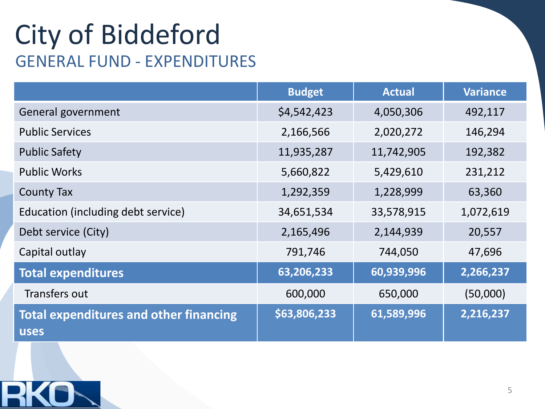### City of Biddeford GENERAL FUND - EXPENDITURES

|                                                              | <b>Budget</b> | <b>Actual</b> | <b>Variance</b> |
|--------------------------------------------------------------|---------------|---------------|-----------------|
| General government                                           | \$4,542,423   | 4,050,306     | 492,117         |
| <b>Public Services</b>                                       | 2,166,566     | 2,020,272     | 146,294         |
| <b>Public Safety</b>                                         | 11,935,287    | 11,742,905    | 192,382         |
| <b>Public Works</b>                                          | 5,660,822     | 5,429,610     | 231,212         |
| <b>County Tax</b>                                            | 1,292,359     | 1,228,999     | 63,360          |
| Education (including debt service)                           | 34,651,534    | 33,578,915    | 1,072,619       |
| Debt service (City)                                          | 2,165,496     | 2,144,939     | 20,557          |
| Capital outlay                                               | 791,746       | 744,050       | 47,696          |
| <b>Total expenditures</b>                                    | 63,206,233    | 60,939,996    | 2,266,237       |
| Transfers out                                                | 600,000       | 650,000       | (50,000)        |
| <b>Total expenditures and other financing</b><br><b>uses</b> | \$63,806,233  | 61,589,996    | 2,216,237       |

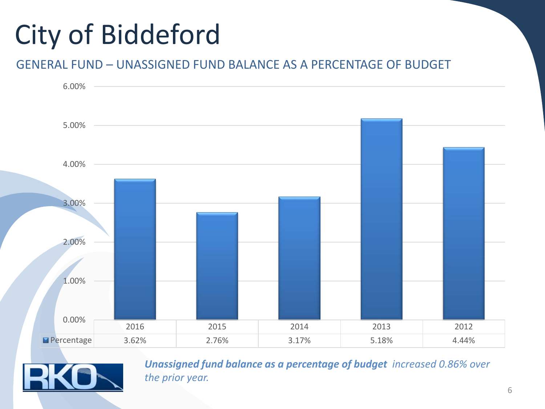#### GENERAL FUND – UNASSIGNED FUND BALANCE AS A PERCENTAGE OF BUDGET





*Unassigned fund balance as a percentage of budget increased 0.86% over the prior year.*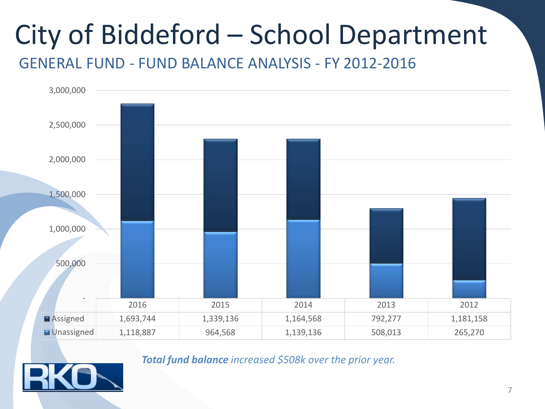# City of Biddeford – School Department

GENERAL FUND - FUND BALANCE ANALYSIS - FY 2012-2016



*Total fund balance increased \$508k over the prior year.*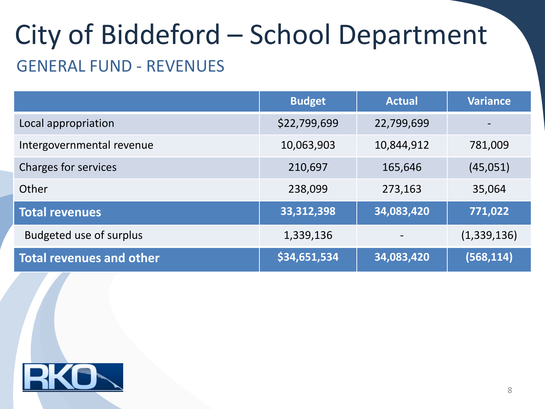## City of Biddeford – School Department GENERAL FUND - REVENUES

|                                 | <b>Budget</b> | <b>Actual</b> | <b>Variance</b> |
|---------------------------------|---------------|---------------|-----------------|
| Local appropriation             | \$22,799,699  | 22,799,699    |                 |
| Intergovernmental revenue       | 10,063,903    | 10,844,912    | 781,009         |
| <b>Charges for services</b>     | 210,697       | 165,646       | (45,051)        |
| Other                           | 238,099       | 273,163       | 35,064          |
| <b>Total revenues</b>           | 33,312,398    | 34,083,420    | 771,022         |
| <b>Budgeted use of surplus</b>  | 1,339,136     |               | (1,339,136)     |
| <b>Total revenues and other</b> | \$34,651,534  | 34,083,420    | (568, 114)      |

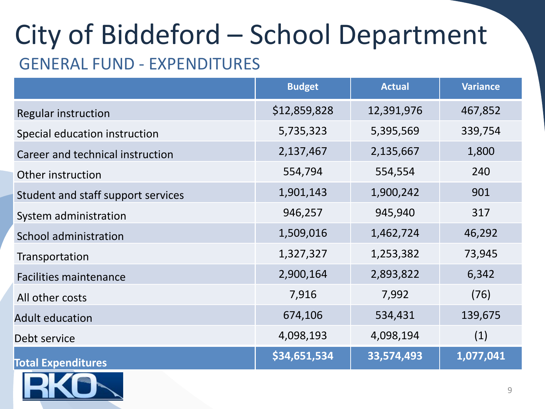### City of Biddeford – School Department GENERAL FUND - EXPENDITURES

|                                    | <b>Budget</b> | <b>Actual</b> | <b>Variance</b> |
|------------------------------------|---------------|---------------|-----------------|
| <b>Regular instruction</b>         | \$12,859,828  | 12,391,976    | 467,852         |
| Special education instruction      | 5,735,323     | 5,395,569     | 339,754         |
| Career and technical instruction   | 2,137,467     | 2,135,667     | 1,800           |
| Other instruction                  | 554,794       | 554,554       | 240             |
| Student and staff support services | 1,901,143     | 1,900,242     | 901             |
| System administration              | 946,257       | 945,940       | 317             |
| School administration              | 1,509,016     | 1,462,724     | 46,292          |
| Transportation                     | 1,327,327     | 1,253,382     | 73,945          |
| <b>Facilities maintenance</b>      | 2,900,164     | 2,893,822     | 6,342           |
| All other costs                    | 7,916         | 7,992         | (76)            |
| <b>Adult education</b>             | 674,106       | 534,431       | 139,675         |
| Debt service                       | 4,098,193     | 4,098,194     | (1)             |
| <b>Total Expenditures</b>          | \$34,651,534  | 33,574,493    | 1,077,041       |

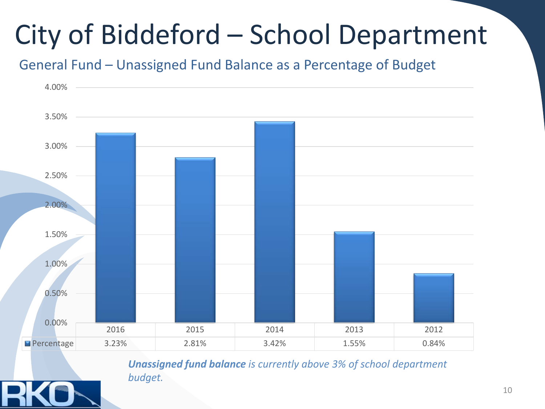## City of Biddeford – School Department

General Fund – Unassigned Fund Balance as a Percentage of Budget



*Unassigned fund balance is currently above 3% of school department budget.*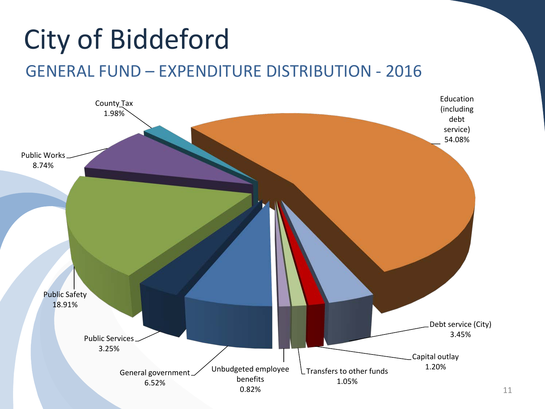## City of Biddeford GENERAL FUND – EXPENDITURE DISTRIBUTION - 2016